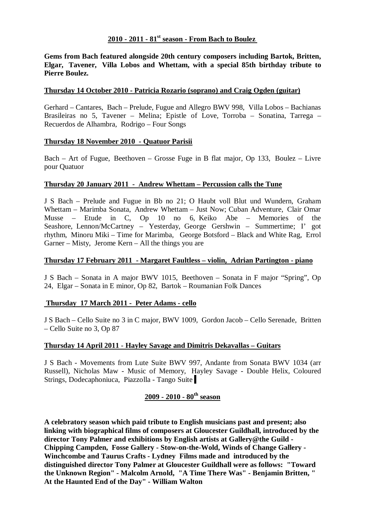### **2010 - 2011 - 81st season - From Bach to Boulez**

**Gems from Bach featured alongside 20th century composers including Bartok, Britten, Elgar, Tavener, Villa Lobos and Whettam, with a special 85th birthday tribute to Pierre Boulez.**

### **Thursday 14 October 2010 - Patricia Rozario (soprano) and Craig Ogden (guitar)**

Gerhard – Cantares, Bach – Prelude, Fugue and Allegro BWV 998, Villa Lobos – Bachianas Brasileiras no 5, Tavener – Melina; Epistle of Love, Torroba – Sonatina, Tarrega – Recuerdos de Alhambra, Rodrigo – Four Songs

### **Thursday 18 November 2010 - Quatuor Parisii**

Bach – Art of Fugue, Beethoven – Grosse Fuge in B flat major, Op 133, Boulez – Livre pour Quatuor

### **Thursday 20 January 2011 - Andrew Whettam – Percussion calls the Tune**

J S Bach – Prelude and Fugue in Bb no 21; O Haubt voll Blut und Wundern, Graham Whettam – Marimba Sonata, Andrew Whettam – Just Now; Cuban Adventure, Clair Omar Musse – Etude in C, Op 10 no 6, Keiko Abe – Memories of the Seashore, Lennon/McCartney – Yesterday, George Gershwin – Summertime; I' got rhythm, Minoru Miki – Time for Marimba, George Botsford – Black and White Rag, Errol Garner – Misty, Jerome Kern – All the things you are

### **Thursday 17 February 2011 - Margaret Faultless – violin, Adrian Partington - piano**

J S Bach – Sonata in A major BWV 1015, Beethoven – Sonata in F major "Spring", Op 24, Elgar – Sonata in E minor, Op 82, Bartok – Roumanian Folk Dances

### **Thursday 17 March 2011 - Peter Adams - cello**

J S Bach – Cello Suite no 3 in C major, BWV 1009, Gordon Jacob – Cello Serenade, Britten – Cello Suite no 3, Op 87

### **Thursday 14 April 2011** - **Hayley Savage and Dimitris Dekavallas – Guitars**

J S Bach - Movements from Lute Suite BWV 997, Andante from Sonata BWV 1034 (arr Russell), Nicholas Maw - Music of Memory, Hayley Savage - Double Helix, Coloured Strings, Dodecaphoniuca, Piazzolla - Tango Suite

# **2009 - 2010 - 80th season**

**A celebratory season which paid tribute to English musicians past and present; also linking with biographical films of composers at Gloucester Guildhall, introduced by the director Tony Palmer and exhibitions by English artists at Gallery@the Guild - Chipping Campden, Fosse Gallery - Stow-on-the-Wold, Winds of Change Gallery - Winchcombe and Taurus Crafts - Lydney Films made and introduced by the distinguished director Tony Palmer at Gloucester Guildhall were as follows: "Toward the Unknown Region" - Malcolm Arnold, "A Time There Was" - Benjamin Britten, " At the Haunted End of the Day" - William Walton**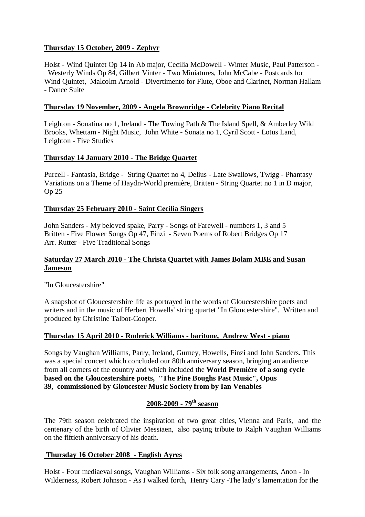## **Thursday 15 October, 2009 - Zephyr**

Holst - Wind Quintet Op 14 in Ab major, Cecilia McDowell - Winter Music, Paul Patterson - Westerly Winds Op 84, Gilbert Vinter - Two Miniatures, John McCabe - Postcards for Wind Quintet, Malcolm Arnold - Divertimento for Flute, Oboe and Clarinet, Norman Hallam - Dance Suite

## **Thursday 19 November, 2009 - Angela Brownridge - Celebrity Piano Recital**

Leighton - Sonatina no 1, Ireland - The Towing Path & The Island Spell, & Amberley Wild Brooks, Whettam - Night Music, John White - Sonata no 1, Cyril Scott - Lotus Land, Leighton - Five Studies

## **Thursday 14 January 2010 - The Bridge Quartet**

Purcell - Fantasia, Bridge - String Quartet no 4, Delius - Late Swallows, Twigg - Phantasy Variations on a Theme of Haydn-World première, Britten - String Quartet no 1 in D major, Op 25

## **Thursday 25 February 2010 - Saint Cecilia Singers**

**J**ohn Sanders - My beloved spake, Parry - Songs of Farewell - numbers 1, 3 and 5 Britten - Five Flower Songs Op 47, Finzi - Seven Poems of Robert Bridges Op 17 Arr. Rutter - Five Traditional Songs

## **Saturday 27 March 2010 - The Christa Quartet with James Bolam MBE and Susan Jameson**

"In Gloucestershire"

A snapshot of Gloucestershire life as portrayed in the words of Gloucestershire poets and writers and in the music of Herbert Howells' string quartet "In Gloucestershire". Written and produced by Christine Talbot-Cooper.

## **Thursday 15 April 2010 - Roderick Williams - baritone, Andrew West - piano**

Songs by Vaughan Williams, Parry, Ireland, Gurney, Howells, Finzi and John Sanders. This was a special concert which concluded our 80th anniversary season, bringing an audience from all corners of the country and which included the **World Première of a song cycle based on the Gloucestershire poets, "The Pine Boughs Past Music", Opus 39, commissioned by Gloucester Music Society from by Ian Venables**

# **2008-2009 - 79th season**

The 79th season celebrated the inspiration of two great cities, Vienna and Paris, and the centenary of the birth of Olivier Messiaen, also paying tribute to Ralph Vaughan Williams on the fiftieth anniversary of his death.

## **Thursday 16 October 2008 - English Ayres**

Holst - Four mediaeval songs, Vaughan Williams - Six folk song arrangements, Anon - In Wilderness, Robert Johnson - As I walked forth, Henry Cary -The lady's lamentation for the